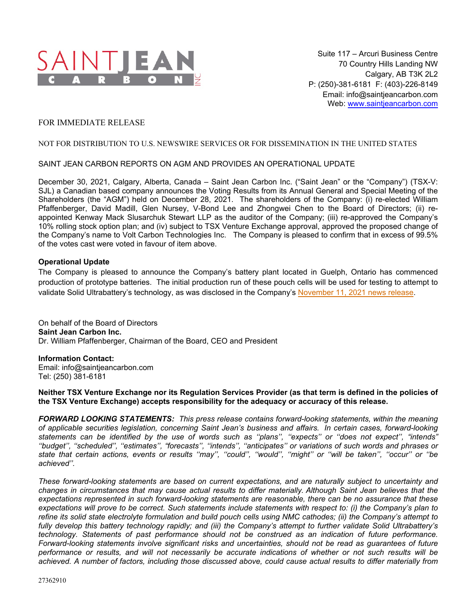

## FOR IMMEDIATE RELEASE

## NOT FOR DISTRIBUTION TO U.S. NEWSWIRE SERVICES OR FOR DISSEMINATION IN THE UNITED STATES

## SAINT JEAN CARBON REPORTS ON AGM AND PROVIDES AN OPERATIONAL UPDATE

December 30, 2021, Calgary, Alberta, Canada – Saint Jean Carbon Inc. ("Saint Jean" or the "Company") (TSX-V: SJL) a Canadian based company announces the Voting Results from its Annual General and Special Meeting of the Shareholders (the "AGM") held on December 28, 2021. The shareholders of the Company: (i) re-elected William Pfaffenberger, David Madill, Glen Nursey, V-Bond Lee and Zhongwei Chen to the Board of Directors; (ii) reappointed Kenway Mack Slusarchuk Stewart LLP as the auditor of the Company; (iii) re-approved the Company's 10% rolling stock option plan; and (iv) subject to TSX Venture Exchange approval, approved the proposed change of the Company's name to Volt Carbon Technologies Inc. The Company is pleased to confirm that in excess of 99.5% of the votes cast were voted in favour of item above.

## **Operational Update**

The Company is pleased to announce the Company's battery plant located in Guelph, Ontario has commenced production of prototype batteries. The initial production run of these pouch cells will be used for testing to attempt to validate Solid Ultrabattery's technology, as was disclosed in the Company's [November 11, 2021 news release](http://saintjeancarbon.com/news_releases/2021/2021-11-11.pdf).

On behalf of the Board of Directors **Saint Jean Carbon Inc.** Dr. William Pfaffenberger, Chairman of the Board, CEO and President

**Information Contact:** Email: info@saintieancarbon.com Tel: (250) 381-6181

**Neither TSX Venture Exchange nor its Regulation Services Provider (as that term is defined in the policies of the TSX Venture Exchange) accepts responsibility for the adequacy or accuracy of this release.**

*FORWARD LOOKING STATEMENTS: This press release contains forward-looking statements, within the meaning of applicable securities legislation, concerning Saint Jean's business and affairs. In certain cases, forward-looking statements can be identified by the use of words such as ''plans'', ''expects'' or ''does not expect'', "intends" ''budget'', ''scheduled'', ''estimates'', "forecasts'', ''intends'', ''anticipates'' or variations of such words and phrases or state that certain actions, events or results ''may'', ''could'', ''would'', ''might'' or ''will be taken'', ''occur'' or ''be achieved''.* 

*These forward-looking statements are based on current expectations, and are naturally subject to uncertainty and changes in circumstances that may cause actual results to differ materially. Although Saint Jean believes that the expectations represented in such forward-looking statements are reasonable, there can be no assurance that these expectations will prove to be correct. Such statements include statements with respect to: (i) the Company's plan to refine its solid state electrolyte formulation and build pouch cells using NMC cathodes; (ii) the Company's attempt to fully develop this battery technology rapidly; and (iii) the Company's attempt to further validate Solid Ultrabattery's technology. Statements of past performance should not be construed as an indication of future performance. Forward-looking statements involve significant risks and uncertainties, should not be read as guarantees of future performance or results, and will not necessarily be accurate indications of whether or not such results will be achieved. A number of factors, including those discussed above, could cause actual results to differ materially from*